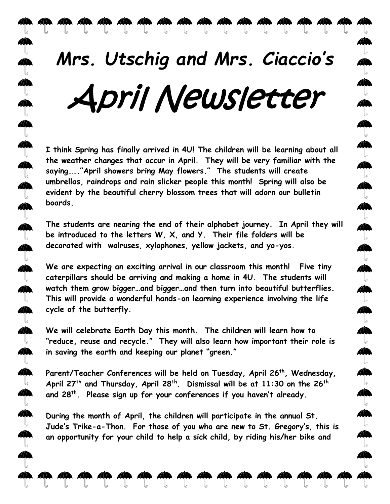## *Mrs. Utschig and Mrs. Ciaccio' s*  April Newsletter

**I think Spring has finally arrived in 4U! The children will be learning about all the weather changes that occur in April. They will be very familiar with the saying….."April showers bring May flowers." The students will create umbrellas, raindrops and rain slicker people this month! Spring will also be evident by the beautiful cherry blossom trees that will adorn our bulletin boards.**

**The students are nearing the end of their alphabet journey. In April they will be introduced to the letters W, X, and Y. Their file folders will be decorated with walruses, xylophones, yellow jackets, and yo-yos.**

**We are expecting an exciting arrival in our classroom this month! Five tiny caterpillars should be arriving and making a home in 4U. The students will watch them grow bigger…and bigger…and then turn into beautiful butterflies. This will provide a wonderful hands-on learning experience involving the life cycle of the butterfly.** 

**We will celebrate Earth Day this month. The children will learn how to "reduce, reuse and recycle." They will also learn how important their role is in saving the earth and keeping our planet "green."**

**Parent/Teacher Conferences will be held on Tuesday, April 26th, Wednesday, April 27th and Thursday, April 28th. Dismissal will be at 11:30 on the 26th and 28th . Please sign up for your conferences if you haven't already.** 

**During the month of April, the children will participate in the annual St. Jude's Trike-a-Thon. For those of you who are new to St. Gregory's, this is an opportunity for your child to help a sick child, by riding his/her bike and** 

T

T

 $\mathbf{A}$ 

A